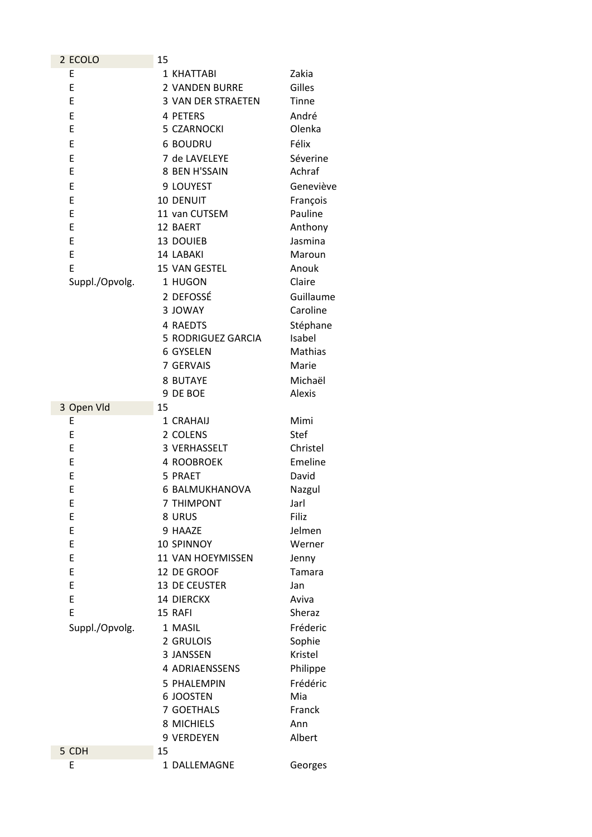| 2 ECOLO        | 15                    |             |
|----------------|-----------------------|-------------|
| E              | 1 KHATTABI            | Zakia       |
| E              | <b>2 VANDEN BURRE</b> | Gilles      |
| E              | 3 VAN DER STRAETEN    | Tinne       |
| E              | 4 PETERS              | André       |
| E              | 5 CZARNOCKI           | Olenka      |
| E              | <b>6 BOUDRU</b>       | Félix       |
| E              | 7 de LAVELEYE         | Séverine    |
| E              | 8 BEN H'SSAIN         | Achraf      |
|                |                       |             |
| E              | 9 LOUYEST             | Geneviève   |
| E              | 10 DENUIT             | François    |
| E              | 11 van CUTSEM         | Pauline     |
| E              | 12 BAERT              | Anthony     |
| E              | 13 DOUIEB             | Jasmina     |
| E              | 14 LABAKI             | Maroun      |
| E              | 15 VAN GESTEL         | Anouk       |
| Suppl./Opvolg. | 1 HUGON               | Claire      |
|                | 2 DEFOSSÉ             | Guillaume   |
|                | 3 JOWAY               | Caroline    |
|                | 4 RAEDTS              | Stéphane    |
|                | 5 RODRIGUEZ GARCIA    | Isabel      |
|                | 6 GYSELEN             | Mathias     |
|                | 7 GERVAIS             | Marie       |
|                | 8 BUTAYE              | Michaël     |
|                | 9 DE BOE              | Alexis      |
| 3 Open Vld     | 15                    |             |
| E              | 1 CRAHAIJ             | Mimi        |
| E              | 2 COLENS              | <b>Stef</b> |
| E              | 3 VERHASSELT          | Christel    |
| E              | 4 ROOBROEK            | Emeline     |
| E              | 5 PRAET               | David       |
| E              | 6 BALMUKHANOVA        | Nazgul      |
| E              | <b>7 THIMPONT</b>     | Jarl        |
| E              | 8 URUS                | Filiz       |
| E              | 9 HAAZE               | Jelmen      |
| E              | <b>10 SPINNOY</b>     | Werner      |
| E              | 11 VAN HOEYMISSEN     | Jenny       |
| E              | 12 DE GROOF           | Tamara      |
| E              | 13 DE CEUSTER         | Jan         |
| E              | <b>14 DIERCKX</b>     | Aviva       |
| E              | 15 RAFI               | Sheraz      |
| Suppl./Opvolg. | 1 MASIL               | Fréderic    |
|                | 2 GRULOIS             | Sophie      |
|                | 3 JANSSEN             | Kristel     |
|                | 4 ADRIAENSSENS        | Philippe    |
|                | 5 PHALEMPIN           | Frédéric    |
|                | 6 JOOSTEN             | Mia         |
|                | 7 GOETHALS            | Franck      |
|                | 8 MICHIELS            | Ann         |
|                | 9 VERDEYEN            | Albert      |
| 5 CDH          | 15                    |             |
| E              | 1 DALLEMAGNE          | Georges     |
|                |                       |             |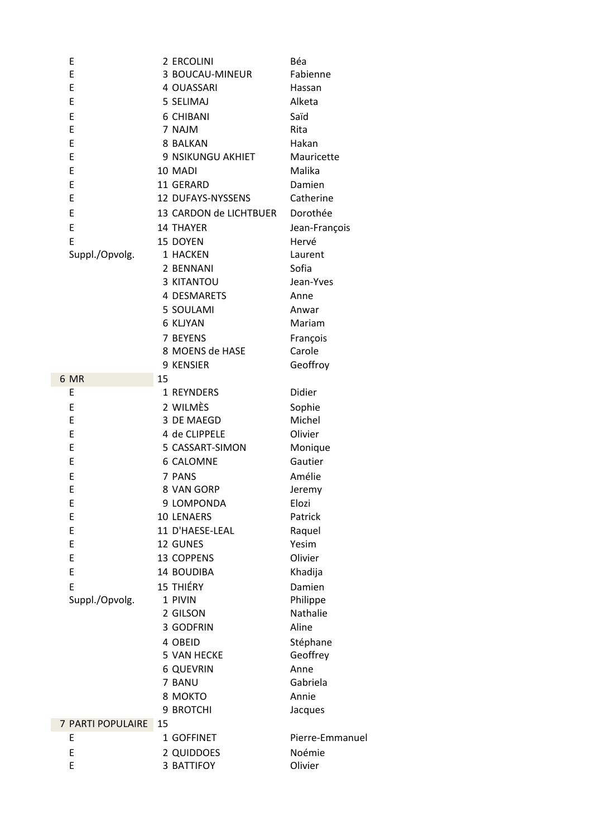| Ε                 | 2 ERCOLINI             | Béa             |
|-------------------|------------------------|-----------------|
| E                 | 3 BOUCAU-MINEUR        | Fabienne        |
| E                 | 4 OUASSARI             | Hassan          |
| E                 | 5 SELIMAJ              | Alketa          |
| E                 | 6 CHIBANI              | Saïd            |
| E                 | 7 NAJM                 | Rita            |
| E                 | 8 BALKAN               | Hakan           |
| E                 | 9 NSIKUNGU AKHIET      | Mauricette      |
| E                 | 10 MADI                | Malika          |
| E                 | 11 GERARD              | Damien          |
| E                 | 12 DUFAYS-NYSSENS      | Catherine       |
| E                 | 13 CARDON de LICHTBUER | Dorothée        |
| E                 | <b>14 THAYER</b>       | Jean-François   |
| E                 | 15 DOYEN               | Hervé           |
| Suppl./Opvolg.    | 1 HACKEN               | Laurent         |
|                   | 2 BENNANI              | Sofia           |
|                   | <b>3 KITANTOU</b>      | Jean-Yves       |
|                   | 4 DESMARETS            | Anne            |
|                   | 5 SOULAMI              | Anwar           |
|                   |                        |                 |
|                   | <b>6 KLJYAN</b>        | Mariam          |
|                   | 7 BEYENS               | François        |
|                   | 8 MOENS de HASE        | Carole          |
|                   | 9 KENSIER              | Geoffroy        |
| 6 MR              | 15                     |                 |
| E                 | 1 REYNDERS             | Didier          |
| E                 | 2 WILMÈS               | Sophie          |
| E                 | 3 DE MAEGD             | Michel          |
| E                 | 4 de CLIPPELE          | Olivier         |
| Е                 | 5 CASSART-SIMON        | Monique         |
| E                 | 6 CALOMNE              | Gautier         |
| E                 | 7 PANS                 | Amélie          |
| E                 | 8 VAN GORP             | Jeremy          |
| E                 | 9 LOMPONDA             | Elozi           |
| Ε                 | <b>10 LENAERS</b>      | Patrick         |
| E                 | 11 D'HAESE-LEAL        | Raquel          |
| E                 | 12 GUNES               | Yesim           |
| E                 | 13 COPPENS             | Olivier         |
| E                 | 14 BOUDIBA             | Khadija         |
| E                 | 15 THIÉRY              | Damien          |
| Suppl./Opvolg.    | 1 PIVIN                | Philippe        |
|                   | 2 GILSON               | Nathalie        |
|                   | 3 GODFRIN              | Aline           |
|                   | 4 OBEID                | Stéphane        |
|                   | 5 VAN HECKE            | Geoffrey        |
|                   | <b>6 QUEVRIN</b>       | Anne            |
|                   | 7 BANU                 | Gabriela        |
|                   | 8 MOKTO                | Annie           |
|                   | 9 BROTCHI              | Jacques         |
| 7 PARTI POPULAIRE | 15                     |                 |
| E                 | 1 GOFFINET             | Pierre-Emmanuel |
| E                 | 2 QUIDDOES             | Noémie          |
| E                 | 3 BATTIFOY             | Olivier         |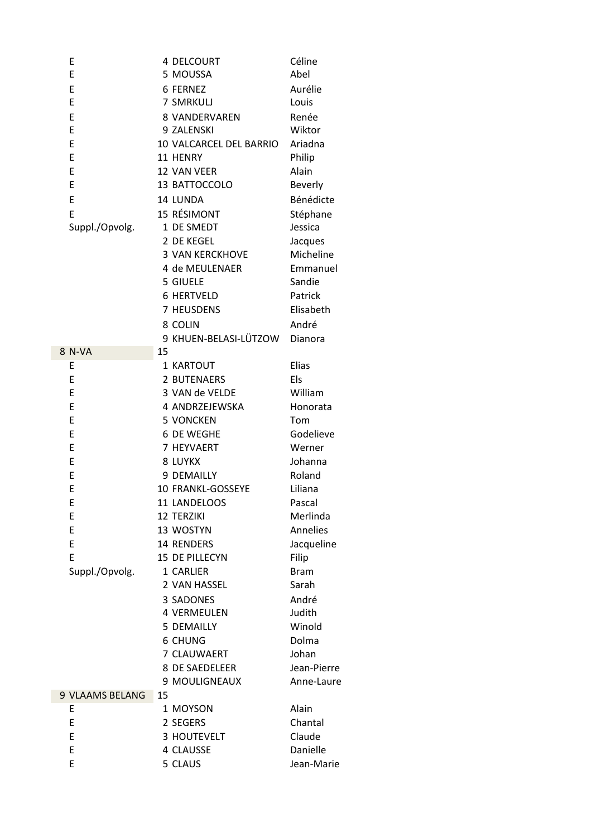| Ε                      | 4 DELCOURT              | Céline         |
|------------------------|-------------------------|----------------|
| E                      | 5 MOUSSA                | Abel           |
| E                      | <b>6 FERNEZ</b>         | Aurélie        |
| E                      | 7 SMRKULJ               | Louis          |
| E                      | 8 VANDERVAREN           | Renée          |
| E                      | 9 ZALENSKI              | Wiktor         |
| E                      | 10 VALCARCEL DEL BARRIO | Ariadna        |
| E                      | 11 HENRY                | Philip         |
| E                      | 12 VAN VEER             | Alain          |
| E                      | 13 BATTOCCOLO           | <b>Beverly</b> |
| E                      | 14 LUNDA                | Bénédicte      |
| E                      | 15 RÉSIMONT             | Stéphane       |
| Suppl./Opvolg.         | 1 DE SMEDT              | Jessica        |
|                        | 2 DE KEGEL              | Jacques        |
|                        | <b>3 VAN KERCKHOVE</b>  | Micheline      |
|                        | 4 de MEULENAER          | Emmanuel       |
|                        | 5 GIUELE                | Sandie         |
|                        | <b>6 HERTVELD</b>       | Patrick        |
|                        | 7 HEUSDENS              | Elisabeth      |
|                        |                         |                |
|                        | 8 COLIN                 | André          |
|                        | 9 KHUEN-BELASI-LÜTZOW   | Dianora        |
| 8 N-VA                 | 15<br>1 KARTOUT         | Elias          |
| E<br>E                 | 2 BUTENAERS             |                |
|                        | 3 VAN de VELDE          | Els            |
| E                      |                         | William        |
| E                      | 4 ANDRZEJEWSKA          | Honorata       |
| E                      | <b>5 VONCKEN</b>        | Tom            |
| E                      | 6 DE WEGHE              | Godelieve      |
| E                      | 7 HEYVAERT              | Werner         |
| E                      | 8 LUYKX                 | Johanna        |
| E                      | 9 DEMAILLY              | Roland         |
| E                      | 10 FRANKL-GOSSEYE       | Liliana        |
| E                      | 11 LANDELOOS            | Pascal         |
| E                      | <b>12 TERZIKI</b>       | Merlinda       |
| E                      | 13 WOSTYN               | Annelies       |
| E                      | 14 RENDERS              | Jacqueline     |
| E                      | 15 DE PILLECYN          | Filip          |
| Suppl./Opvolg.         | 1 CARLIER               | <b>Bram</b>    |
|                        | 2 VAN HASSEL            | Sarah          |
|                        | 3 SADONES               | André          |
|                        | <b>4 VERMEULEN</b>      | Judith         |
|                        | <b>5 DEMAILLY</b>       | Winold         |
|                        | <b>6 CHUNG</b>          | Dolma          |
|                        | 7 CLAUWAERT             | Johan          |
|                        | 8 DE SAEDELEER          | Jean-Pierre    |
|                        | 9 MOULIGNEAUX           | Anne-Laure     |
| <b>9 VLAAMS BELANG</b> | 15                      |                |
| Ε                      | 1 MOYSON                | Alain          |
| E                      | 2 SEGERS                | Chantal        |
| E                      | 3 HOUTEVELT             | Claude         |
| E                      | 4 CLAUSSE               | Danielle       |
| E                      | 5 CLAUS                 | Jean-Marie     |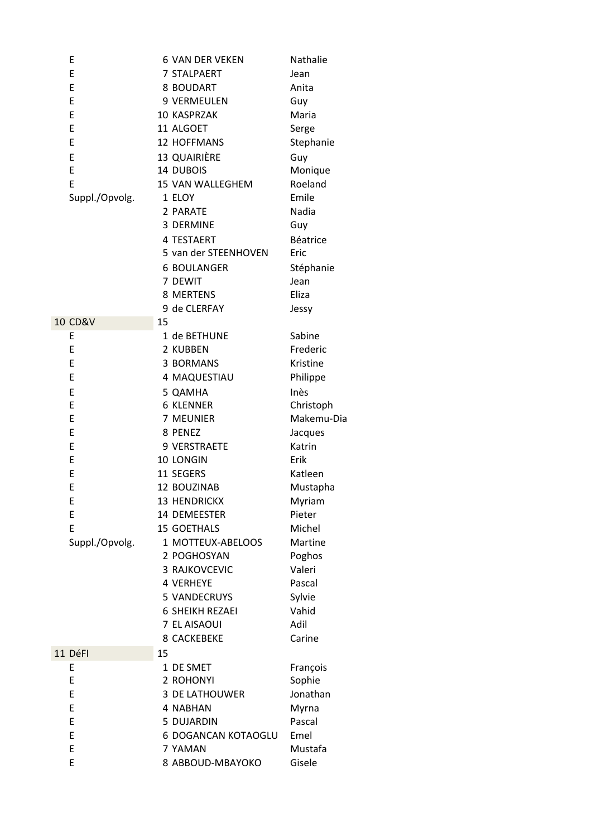| E                  | <b>6 VAN DER VEKEN</b> | Nathalie   |
|--------------------|------------------------|------------|
| E                  | 7 STALPAERT            | Jean       |
| E                  | 8 BOUDART              | Anita      |
| E                  | 9 VERMEULEN            | Guy        |
| E                  | 10 KASPRZAK            | Maria      |
| E                  | 11 ALGOET              | Serge      |
| E                  | 12 HOFFMANS            | Stephanie  |
| E                  | <b>13 QUAIRIÈRE</b>    | Guy        |
| E                  | 14 DUBOIS              | Monique    |
| E                  | 15 VAN WALLEGHEM       | Roeland    |
| Suppl./Opvolg.     | 1 ELOY                 | Emile      |
|                    | 2 PARATE               | Nadia      |
|                    | 3 DERMINE              | Guy        |
|                    | 4 TESTAERT             | Béatrice   |
|                    | 5 van der STEENHOVEN   | Eric       |
|                    | <b>6 BOULANGER</b>     | Stéphanie  |
|                    | 7 DEWIT                | Jean       |
|                    | 8 MERTENS              | Eliza      |
|                    | 9 de CLERFAY           | Jessy      |
| <b>10 CD&amp;V</b> | 15                     |            |
| E                  | 1 de BETHUNE           | Sabine     |
| E                  | 2 KUBBEN               | Frederic   |
| E                  | 3 BORMANS              | Kristine   |
| E                  | 4 MAQUESTIAU           | Philippe   |
| E                  | 5 QAMHA                | Inès       |
| E                  | <b>6 KLENNER</b>       | Christoph  |
| E                  | 7 MEUNIER              | Makemu-Dia |
| E                  | 8 PENEZ                | Jacques    |
| E                  | 9 VERSTRAETE           | Katrin     |
| E                  | 10 LONGIN              | Erik       |
| E                  | 11 SEGERS              | Katleen    |
| E                  | 12 BOUZINAB            | Mustapha   |
| E                  | 13 HENDRICKX           | Myriam     |
| E                  | 14 DEMEESTER           | Pieter     |
| E                  | 15 GOETHALS            | Michel     |
| Suppl./Opvolg.     | 1 MOTTEUX-ABELOOS      | Martine    |
|                    | 2 POGHOSYAN            | Poghos     |
|                    | 3 RAJKOVCEVIC          | Valeri     |
|                    | <b>4 VERHEYE</b>       | Pascal     |
|                    | 5 VANDECRUYS           | Sylvie     |
|                    | <b>6 SHEIKH REZAEI</b> | Vahid      |
|                    | 7 EL AISAOUI           | Adil       |
|                    | <b>8 CACKEBEKE</b>     | Carine     |
| 11 DéFI            | 15                     |            |
| E                  | 1 DE SMET              | François   |
| E                  | 2 ROHONYI              | Sophie     |
| E                  | <b>3 DE LATHOUWER</b>  | Jonathan   |
| E                  | 4 NABHAN               | Myrna      |
| E                  | 5 DUJARDIN             | Pascal     |
| E                  | 6 DOGANCAN KOTAOGLU    | Emel       |
| E                  | 7 YAMAN                | Mustafa    |
| E                  | 8 ABBOUD-MBAYOKO       | Gisele     |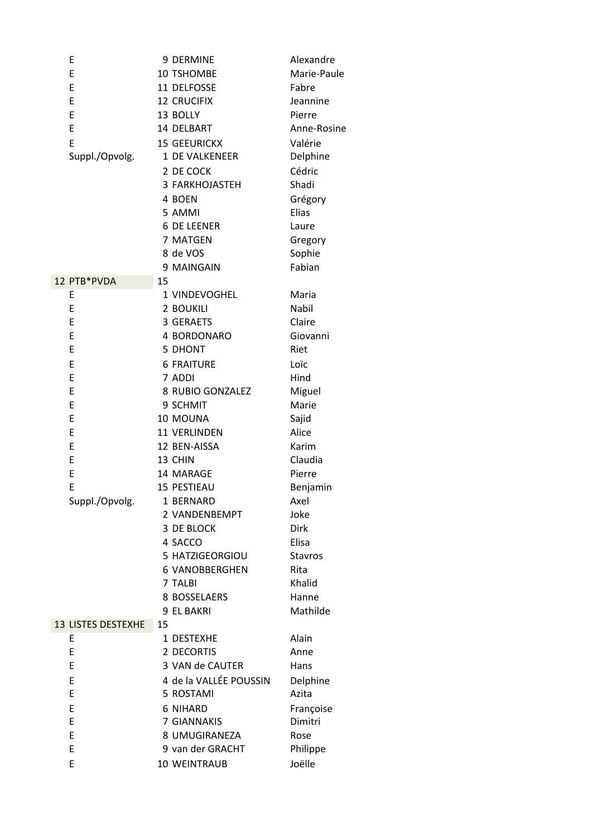| E                         | 9 DERMINE                        | Alexandre              |
|---------------------------|----------------------------------|------------------------|
| E                         | 10 TSHOMBE                       | Marie-Paule            |
| E                         | 11 DELFOSSE                      | Fabre                  |
| E                         | <b>12 CRUCIFIX</b>               | Jeannine               |
| E                         | 13 BOLLY                         | Pierre                 |
| E                         | 14 DELBART                       | Anne-Rosine            |
| E                         | <b>15 GEEURICKX</b>              | Valérie                |
| Suppl./Opvolg.            | 1 DE VALKENEER                   | Delphine               |
|                           | 2 DE COCK                        | Cédric                 |
|                           | 3 FARKHOJASTEH                   | Shadi                  |
|                           | 4 BOEN                           | Grégory                |
|                           | 5 AMMI                           | Elias                  |
|                           | <b>6 DE LEENER</b>               | Laure                  |
|                           | 7 MATGEN                         | Gregory                |
|                           | 8 de VOS                         | Sophie                 |
|                           | 9 MAINGAIN                       | Fabian                 |
| 12 PTB*PVDA               | 15                               |                        |
| E                         | 1 VINDEVOGHEL                    | Maria                  |
| E                         | 2 BOUKILI                        | Nabil                  |
| E                         | 3 GERAETS                        | Claire                 |
| E                         | 4 BORDONARO                      | Giovanni               |
| E                         | 5 DHONT                          | Riet                   |
| E                         | <b>6 FRAITURE</b>                | Loïc                   |
| E                         | 7 ADDI                           | Hind                   |
| E                         | 8 RUBIO GONZALEZ                 | Miguel                 |
| E                         | 9 SCHMIT                         | Marie                  |
| E                         | 10 MOUNA                         | Sajid                  |
| E                         | 11 VERLINDEN                     | Alice                  |
| E                         | 12 BEN-AISSA                     | Karim                  |
| E                         | 13 CHIN                          | Claudia                |
| E                         | 14 MARAGE                        | Pierre                 |
| E                         | 15 PESTIEAU                      | Benjamin               |
| Suppl./Opvolg.            | 1 BERNARD                        | Axel                   |
|                           | 2 VANDENBEMPT                    | Joke                   |
|                           | 3 DE BLOCK                       | <b>Dirk</b>            |
|                           | 4 SACCO<br>5 HATZIGEORGIOU       | Elisa                  |
|                           |                                  | <b>Stavros</b><br>Rita |
|                           | <b>6 VANOBBERGHEN</b><br>7 TALBI | Khalid                 |
|                           | 8 BOSSELAERS                     | Hanne                  |
|                           | 9 EL BAKRI                       | Mathilde               |
| <b>13 LISTES DESTEXHE</b> | 15                               |                        |
| E                         | 1 DESTEXHE                       | Alain                  |
| E                         | 2 DECORTIS                       | Anne                   |
| E                         | 3 VAN de CAUTER                  | Hans                   |
| E                         | 4 de la VALLÉE POUSSIN           | Delphine               |
| E                         | 5 ROSTAMI                        | Azita                  |
| E                         | <b>6 NIHARD</b>                  | Françoise              |
| E                         | 7 GIANNAKIS                      | Dimitri                |
| E                         | 8 UMUGIRANEZA                    | Rose                   |
| E                         | 9 van der GRACHT                 | Philippe               |
| E                         | 10 WEINTRAUB                     | Joëlle                 |
|                           |                                  |                        |